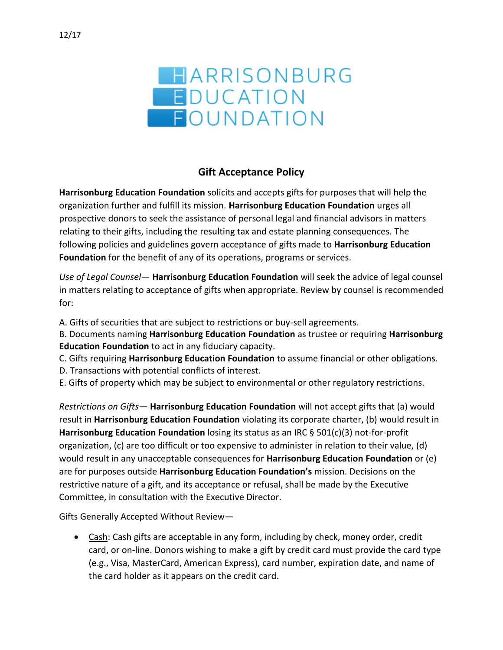

## **Gift Acceptance Policy**

**Harrisonburg Education Foundation** solicits and accepts gifts for purposes that will help the organization further and fulfill its mission. **Harrisonburg Education Foundation** urges all prospective donors to seek the assistance of personal legal and financial advisors in matters relating to their gifts, including the resulting tax and estate planning consequences. The following policies and guidelines govern acceptance of gifts made to **Harrisonburg Education Foundation** for the benefit of any of its operations, programs or services.

*Use of Legal Counsel*— **Harrisonburg Education Foundation** will seek the advice of legal counsel in matters relating to acceptance of gifts when appropriate. Review by counsel is recommended for:

A. Gifts of securities that are subject to restrictions or buy-sell agreements.

B. Documents naming **Harrisonburg Education Foundation** as trustee or requiring **Harrisonburg Education Foundation** to act in any fiduciary capacity.

C. Gifts requiring **Harrisonburg Education Foundation** to assume financial or other obligations.

- D. Transactions with potential conflicts of interest.
- E. Gifts of property which may be subject to environmental or other regulatory restrictions.

*Restrictions on Gifts*— **Harrisonburg Education Foundation** will not accept gifts that (a) would result in **Harrisonburg Education Foundation** violating its corporate charter, (b) would result in **Harrisonburg Education Foundation** losing its status as an IRC § 501(c)(3) not-for-profit organization, (c) are too difficult or too expensive to administer in relation to their value, (d) would result in any unacceptable consequences for **Harrisonburg Education Foundation** or (e) are for purposes outside **Harrisonburg Education Foundation's** mission. Decisions on the restrictive nature of a gift, and its acceptance or refusal, shall be made by the Executive Committee, in consultation with the Executive Director.

Gifts Generally Accepted Without Review—

• Cash: Cash gifts are acceptable in any form, including by check, money order, credit card, or on-line. Donors wishing to make a gift by credit card must provide the card type (e.g., Visa, MasterCard, American Express), card number, expiration date, and name of the card holder as it appears on the credit card.